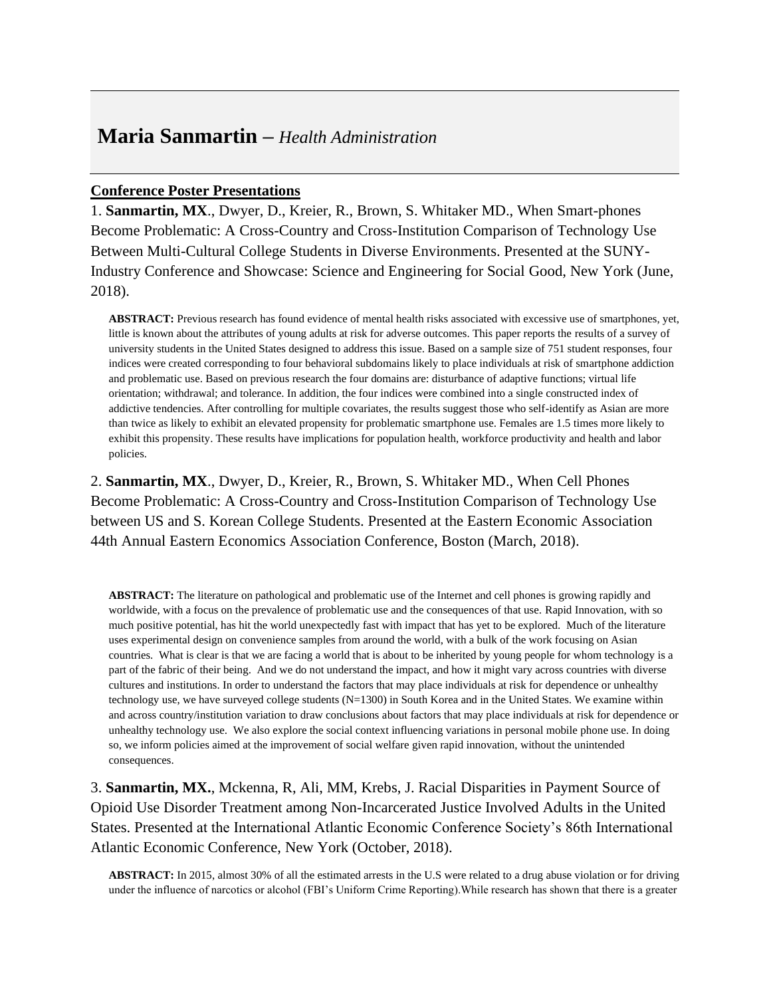## **Maria Sanmartin –** *Health Administration*

## **Conference Poster Presentations**

1. **Sanmartin, MX**., Dwyer, D., Kreier, R., Brown, S. Whitaker MD., When Smart-phones Become Problematic: A Cross-Country and Cross-Institution Comparison of Technology Use Between Multi-Cultural College Students in Diverse Environments. Presented at the SUNY-Industry Conference and Showcase: Science and Engineering for Social Good, New York (June, 2018).

**ABSTRACT:** Previous research has found evidence of mental health risks associated with excessive use of smartphones, yet, little is known about the attributes of young adults at risk for adverse outcomes. This paper reports the results of a survey of university students in the United States designed to address this issue. Based on a sample size of 751 student responses, four indices were created corresponding to four behavioral subdomains likely to place individuals at risk of smartphone addiction and problematic use. Based on previous research the four domains are: disturbance of adaptive functions; virtual life orientation; withdrawal; and tolerance. In addition, the four indices were combined into a single constructed index of addictive tendencies. After controlling for multiple covariates, the results suggest those who self-identify as Asian are more than twice as likely to exhibit an elevated propensity for problematic smartphone use. Females are 1.5 times more likely to exhibit this propensity. These results have implications for population health, workforce productivity and health and labor policies.

2. **Sanmartin, MX**., Dwyer, D., Kreier, R., Brown, S. Whitaker MD., When Cell Phones Become Problematic: A Cross-Country and Cross-Institution Comparison of Technology Use between US and S. Korean College Students. Presented at the Eastern Economic Association 44th Annual Eastern Economics Association Conference, Boston (March, 2018).

**ABSTRACT:** The literature on pathological and problematic use of the Internet and cell phones is growing rapidly and worldwide, with a focus on the prevalence of problematic use and the consequences of that use. Rapid Innovation, with so much positive potential, has hit the world unexpectedly fast with impact that has yet to be explored. Much of the literature uses experimental design on convenience samples from around the world, with a bulk of the work focusing on Asian countries. What is clear is that we are facing a world that is about to be inherited by young people for whom technology is a part of the fabric of their being. And we do not understand the impact, and how it might vary across countries with diverse cultures and institutions. In order to understand the factors that may place individuals at risk for dependence or unhealthy technology use, we have surveyed college students (N=1300) in South Korea and in the United States. We examine within and across country/institution variation to draw conclusions about factors that may place individuals at risk for dependence or unhealthy technology use. We also explore the social context influencing variations in personal mobile phone use. In doing so, we inform policies aimed at the improvement of social welfare given rapid innovation, without the unintended consequences.

3. **Sanmartin, MX.**, Mckenna, R, Ali, MM, Krebs, J. Racial Disparities in Payment Source of Opioid Use Disorder Treatment among Non-Incarcerated Justice Involved Adults in the United States. Presented at the International Atlantic Economic Conference Society's 86th International Atlantic Economic Conference, New York (October, 2018).

**ABSTRACT:** In 2015, almost 30% of all the estimated arrests in the U.S were related to a drug abuse violation or for driving under the influence of narcotics or alcohol (FBI's Uniform Crime Reporting).While research has shown that there is a greater